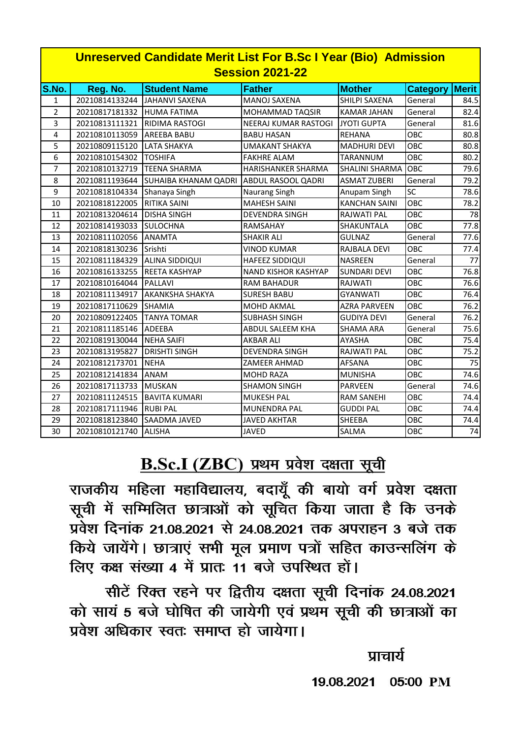| <b>Unreserved Candidate Merit List For B.Sc I Year (Bio) Admission</b><br><b>Session 2021-22</b> |                |                                         |                            |                      |                 |                 |  |
|--------------------------------------------------------------------------------------------------|----------------|-----------------------------------------|----------------------------|----------------------|-----------------|-----------------|--|
| S.No.                                                                                            | Reg. No.       | <b>Student Name</b>                     | <b>Father</b>              | <b>Mother</b>        | <b>Category</b> | <b>Merit</b>    |  |
| $\mathbf{1}$                                                                                     | 20210814133244 | <b>JAHANVI SAXENA</b>                   | <b>MANOJ SAXENA</b>        | SHILPI SAXENA        | General         | 84.5            |  |
| $\overline{2}$                                                                                   | 20210817181332 | <b>HUMA FATIMA</b>                      | <b>MOHAMMAD TAQSIR</b>     | <b>KAMAR JAHAN</b>   | General         | 82.4            |  |
| $\overline{3}$                                                                                   | 20210813111321 | <b>RIDIMA RASTOGI</b>                   | NEERAJ KUMAR RASTOGI       | <b>JYOTI GUPTA</b>   | General         | 81.6            |  |
| 4                                                                                                | 20210810113059 | <b>AREEBA BABU</b>                      | <b>BABU HASAN</b>          | <b>REHANA</b>        | OBC             | 80.8            |  |
| 5                                                                                                | 20210809115120 | <b>LATA SHAKYA</b>                      | <b>UMAKANT SHAKYA</b>      | <b>MADHURI DEVI</b>  | OBC             | 80.8            |  |
| 6                                                                                                | 20210810154302 | <b>TOSHIFA</b>                          | <b>FAKHRE ALAM</b>         | <b>TARANNUM</b>      | OBC             | 80.2            |  |
| $\overline{7}$                                                                                   | 20210810132719 | <b>TEENA SHARMA</b>                     | <b>HARISHANKER SHARMA</b>  | SHALINI SHARMA       | OBC             | 79.6            |  |
| 8                                                                                                | 20210811193644 | SUHAIBA KHANAM QADRI ABDUL RASOOL QADRI |                            | <b>ASMAT ZUBERI</b>  | General         | 79.2            |  |
| 9                                                                                                | 20210818104334 | Shanaya Singh                           | Naurang Singh              | Anupam Singh         | $\overline{SC}$ | 78.6            |  |
| 10                                                                                               | 20210818122005 | <b>RITIKA SAINI</b>                     | <b>MAHESH SAINI</b>        | <b>KANCHAN SAINI</b> | OBC             | 78.2            |  |
| 11                                                                                               | 20210813204614 | <b>DISHA SINGH</b>                      | <b>DEVENDRA SINGH</b>      | <b>RAJWATI PAL</b>   | OBC             | 78              |  |
| 12                                                                                               | 20210814193033 | <b>SULOCHNA</b>                         | RAMSAHAY                   | SHAKUNTALA           | OBC             | 77.8            |  |
| 13                                                                                               | 20210811102056 | <b>ANAMTA</b>                           | <b>SHAKIR ALI</b>          | <b>GULNAZ</b>        | General         | 77.6            |  |
| 14                                                                                               | 20210818130236 | Srishti                                 | <b>VINOD KUMAR</b>         | RAJBALA DEVI         | OBC             | 77.4            |  |
| 15                                                                                               | 20210811184329 | <b>ALINA SIDDIQUI</b>                   | <b>HAFEEZ SIDDIQUI</b>     | <b>NASREEN</b>       | General         | 77              |  |
| 16                                                                                               | 20210816133255 | <b>REETA KASHYAP</b>                    | <b>NAND KISHOR KASHYAP</b> | <b>SUNDARI DEVI</b>  | OBC             | 76.8            |  |
| 17                                                                                               | 20210810164044 | <b>PALLAVI</b>                          | <b>RAM BAHADUR</b>         | RAJWATI              | OBC             | 76.6            |  |
| 18                                                                                               | 20210811134917 | <b>AKANKSHA SHAKYA</b>                  | <b>SURESH BABU</b>         | <b>GYANWATI</b>      | OBC             | 76.4            |  |
| 19                                                                                               | 20210817110629 | <b>SHAMIA</b>                           | <b>MOHD AKMAL</b>          | <b>AZRA PARVEEN</b>  | OBC             | 76.2            |  |
| 20                                                                                               | 20210809122405 | <b>TANYA TOMAR</b>                      | <b>SUBHASH SINGH</b>       | <b>GUDIYA DEVI</b>   | General         | 76.2            |  |
| 21                                                                                               | 20210811185146 | ADEEBA                                  | <b>ABDUL SALEEM KHA</b>    | <b>SHAMA ARA</b>     | General         | 75.6            |  |
| 22                                                                                               | 20210819130044 | <b>NEHA SAIFI</b>                       | <b>AKBAR ALI</b>           | <b>AYASHA</b>        | OBC             | 75.4            |  |
| 23                                                                                               | 20210813195827 | <b>DRISHTI SINGH</b>                    | <b>DEVENDRA SINGH</b>      | RAJWATI PAL          | OBC             | 75.2            |  |
| 24                                                                                               | 20210812173701 | <b>NEHA</b>                             | <b>ZAMEER AHMAD</b>        | <b>AFSANA</b>        | OBC             | 75              |  |
| 25                                                                                               | 20210812141834 | <b>ANAM</b>                             | <b>MOHD RAZA</b>           | <b>MUNISHA</b>       | OBC             | 74.6            |  |
| 26                                                                                               | 20210817113733 | <b>MUSKAN</b>                           | <b>SHAMON SINGH</b>        | <b>PARVEEN</b>       | General         | 74.6            |  |
| 27                                                                                               | 20210811124515 | <b>BAVITA KUMARI</b>                    | <b>MUKESH PAL</b>          | <b>RAM SANEHI</b>    | OBC             | 74.4            |  |
| 28                                                                                               | 20210817111946 | <b>RUBI PAL</b>                         | <b>MUNENDRA PAL</b>        | <b>GUDDI PAL</b>     | OBC             | 74.4            |  |
| 29                                                                                               | 20210818123840 | SAADMA JAVED                            | <b>JAVED AKHTAR</b>        | SHEEBA               | OBC             | 74.4            |  |
| 30                                                                                               | 20210810121740 | <b>ALISHA</b>                           | <b>JAVED</b>               | SALMA                | OBC             | $\overline{74}$ |  |

## B.Sc.I (ZBC) प्रथम प्रवेश दक्षता सूची

राजकीय महिला महाविद्यालय, बदायूँ की बायो वर्ग प्रवेश दक्षता सूची में सम्मिलित छात्राओं को सूचित किया जाता है कि उनके प्रवेश दिनांक 21.08.2021 से 24.08.2021 तक अपराहन 3 बजे तक किये जायेंगे। छात्राएं सभी मूल प्रमाण पत्रों सहित काउन्सलिंग के लिए कक्ष संख्या 4 में प्रातः 11 बजे उपस्थित हों।

सीटें रिक्त रहने पर द्वितीय दक्षता सूची दिनांक 24.08.2021 को सायं 5 बजे घोषित की जायेगी एवं प्रथम सूची की छात्राओं का प्रवेश अधिकार स्वतः समाप्त हो जायेगा।

प्राचार्य

19.08.2021 05:00 PM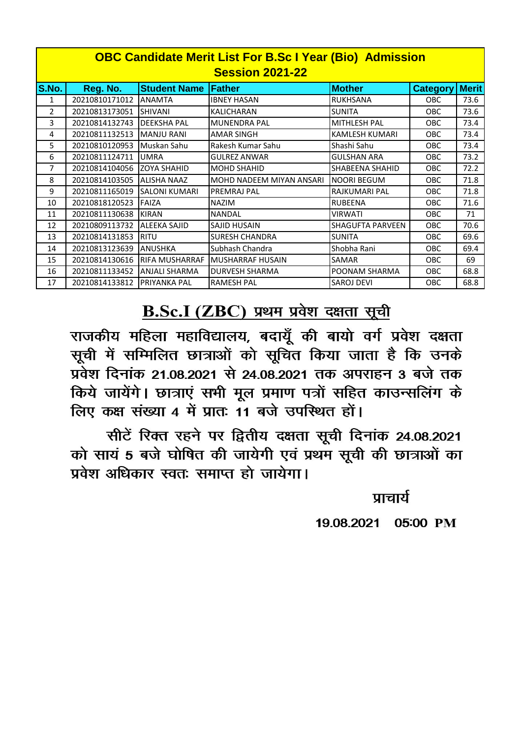| <b>OBC Candidate Merit List For B.Sc I Year (Bio) Admission</b><br><b>Session 2021-22</b> |                |                       |                                 |                         |                 |              |  |  |
|-------------------------------------------------------------------------------------------|----------------|-----------------------|---------------------------------|-------------------------|-----------------|--------------|--|--|
| S.No.                                                                                     | Reg. No.       | <b>Student Name</b>   | lFather.                        | <b>Mother</b>           | <b>Category</b> | <b>Merit</b> |  |  |
| 1                                                                                         | 20210810171012 | <b>ANAMTA</b>         | <b>IBNEY HASAN</b>              | <b>RUKHSANA</b>         | <b>OBC</b>      | 73.6         |  |  |
| $\overline{2}$                                                                            | 20210813173051 | <b>SHIVANI</b>        | <b>KALICHARAN</b>               | <b>SUNITA</b>           | <b>OBC</b>      | 73.6         |  |  |
| 3                                                                                         | 20210814132743 | <b>DEEKSHA PAL</b>    | <b>MUNENDRA PAL</b>             | <b>MITHLESH PAL</b>     | <b>OBC</b>      | 73.4         |  |  |
| 4                                                                                         | 20210811132513 | <b>MANJU RANI</b>     | <b>AMAR SINGH</b>               | KAMLESH KUMARI          | <b>OBC</b>      | 73.4         |  |  |
| 5                                                                                         | 20210810120953 | Muskan Sahu           | Rakesh Kumar Sahu               | Shashi Sahu             | <b>OBC</b>      | 73.4         |  |  |
| 6                                                                                         | 20210811124711 | <b>UMRA</b>           | <b>GULREZ ANWAR</b>             | <b>GULSHAN ARA</b>      | <b>OBC</b>      | 73.2         |  |  |
| 7                                                                                         | 20210814104056 | <b>ZOYA SHAHID</b>    | <b>MOHD SHAHID</b>              | <b>SHABEENA SHAHID</b>  | <b>OBC</b>      | 72.2         |  |  |
| 8                                                                                         | 20210814103505 | <b>ALISHA NAAZ</b>    | <b>MOHD NADEEM MIYAN ANSARI</b> | <b>NOORI BEGUM</b>      | <b>OBC</b>      | 71.8         |  |  |
| 9                                                                                         | 20210811165019 | <b>SALONI KUMARI</b>  | <b>PREMRAJ PAL</b>              | RAJKUMARI PAL           | <b>OBC</b>      | 71.8         |  |  |
| 10                                                                                        | 20210818120523 | FAIZA                 | <b>NAZIM</b>                    | <b>RUBEENA</b>          | <b>OBC</b>      | 71.6         |  |  |
| 11                                                                                        | 20210811130638 | <b>KIRAN</b>          | <b>NANDAL</b>                   | <b>VIRWATI</b>          | <b>OBC</b>      | 71           |  |  |
| 12                                                                                        | 20210809113732 | <b>ALEEKA SAJID</b>   | <b>SAJID HUSAIN</b>             | <b>SHAGUFTA PARVEEN</b> | <b>OBC</b>      | 70.6         |  |  |
| 13                                                                                        | 20210814131853 | <b>RITU</b>           | <b>SURESH CHANDRA</b>           | <b>SUNITA</b>           | <b>OBC</b>      | 69.6         |  |  |
| 14                                                                                        | 20210813123639 | <b>ANUSHKA</b>        | Subhash Chandra                 | Shobha Rani             | <b>OBC</b>      | 69.4         |  |  |
| 15                                                                                        | 20210814130616 | <b>RIFA MUSHARRAF</b> | <b>MUSHARRAF HUSAIN</b>         | <b>SAMAR</b>            | <b>OBC</b>      | 69           |  |  |
| 16                                                                                        | 20210811133452 | <b>ANJALI SHARMA</b>  | <b>DURVESH SHARMA</b>           | <b>POONAM SHARMA</b>    | <b>OBC</b>      | 68.8         |  |  |
| 17                                                                                        | 20210814133812 | <b>PRIYANKA PAL</b>   | <b>RAMESH PAL</b>               | <b>SAROJ DEVI</b>       | <b>OBC</b>      | 68.8         |  |  |

## B.Sc.I (ZBC) प्रथम प्रवेश दक्षता सूची

राजकीय महिला महाविद्यालय, बदायूँ की बायो वर्ग प्रवेश दक्षता सूची में सम्मिलित छात्राओं को सूचित किया जाता है कि उनके प्रवेश दिनांक 21.08.2021 से 24.08.2021 तक अपराहन 3 बजे तक किये जायेंगे। छात्राएं सभी मूल प्रमाण पत्रों सहित काउन्सलिंग के लिए कक्ष संख्या 4 में प्रातः 11 बजे उपस्थित हों।

सीटें रिक्त रहने पर द्वितीय दक्षता सूची दिनांक 24.08.2021 को सायं 5 बजे घोषित की जायेगी एवं प्रथम सूची की छात्राओं का प्रवेश अधिकार स्वतः समाप्त हो जायेगा।

प्राचार्य

19.08.2021 05:00 PM